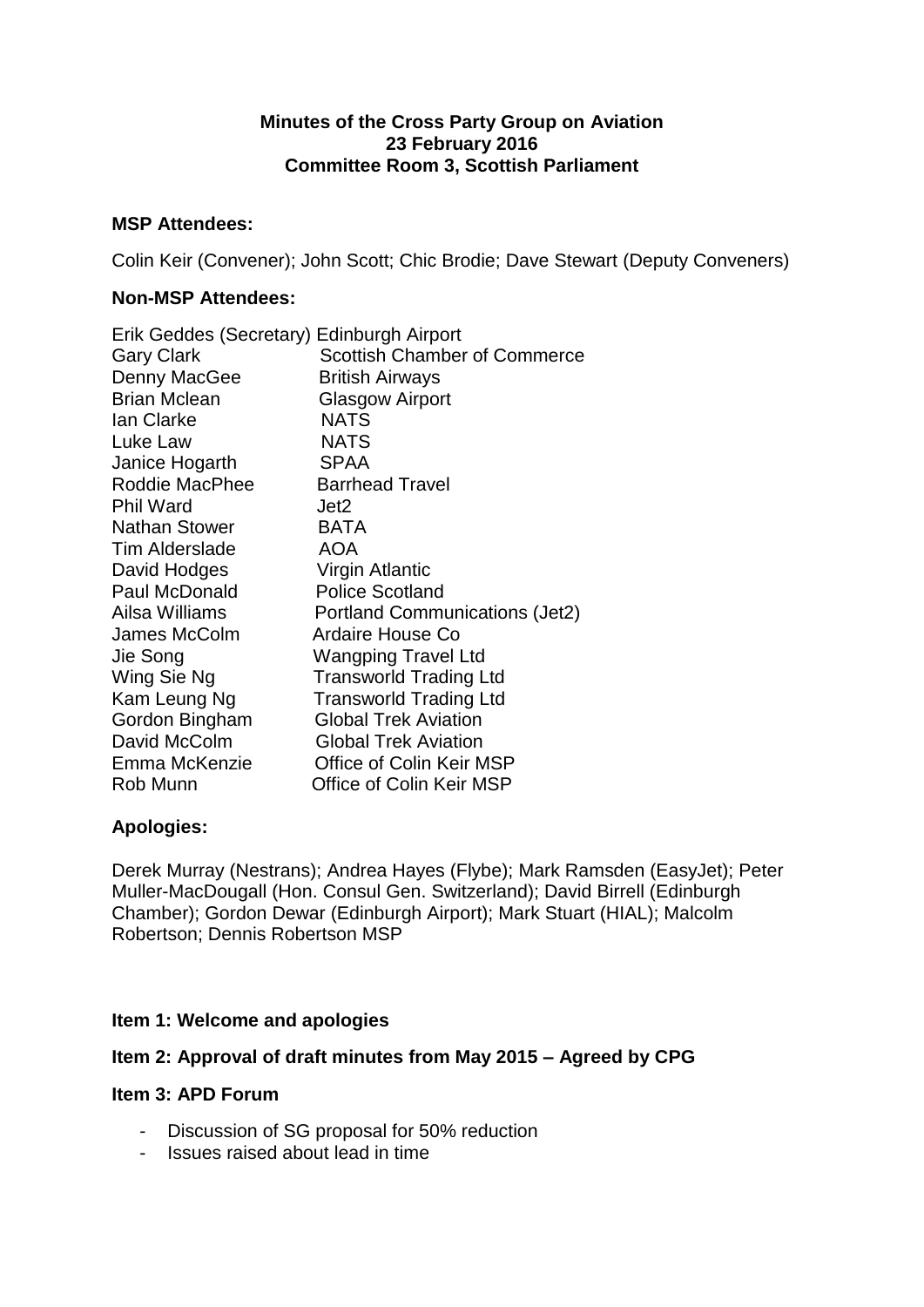## **Minutes of the Cross Party Group on Aviation 23 February 2016 Committee Room 3, Scottish Parliament**

## **MSP Attendees:**

Colin Keir (Convener); John Scott; Chic Brodie; Dave Stewart (Deputy Conveners)

# **Non-MSP Attendees:**

| Erik Geddes (Secretary) Edinburgh Airport |                                     |
|-------------------------------------------|-------------------------------------|
| <b>Gary Clark</b>                         | <b>Scottish Chamber of Commerce</b> |
| Denny MacGee                              | <b>British Airways</b>              |
| <b>Brian Mclean</b>                       | <b>Glasgow Airport</b>              |
| Ian Clarke                                | <b>NATS</b>                         |
| Luke Law                                  | <b>NATS</b>                         |
| Janice Hogarth                            | <b>SPAA</b>                         |
| Roddie MacPhee                            | <b>Barrhead Travel</b>              |
| <b>Phil Ward</b>                          | Jet2                                |
| <b>Nathan Stower</b>                      | <b>BATA</b>                         |
| Tim Alderslade                            | <b>AOA</b>                          |
| David Hodges                              | Virgin Atlantic                     |
| Paul McDonald                             | <b>Police Scotland</b>              |
| Ailsa Williams                            | Portland Communications (Jet2)      |
| James McColm                              | Ardaire House Co                    |
| Jie Song                                  | <b>Wangping Travel Ltd</b>          |
| Wing Sie Ng                               | <b>Transworld Trading Ltd</b>       |
| Kam Leung Ng                              | <b>Transworld Trading Ltd</b>       |
| Gordon Bingham                            | <b>Global Trek Aviation</b>         |
| David McColm                              | <b>Global Trek Aviation</b>         |
| Emma McKenzie                             | Office of Colin Keir MSP            |
| Rob Munn                                  | Office of Colin Keir MSP            |

# **Apologies:**

Derek Murray (Nestrans); Andrea Hayes (Flybe); Mark Ramsden (EasyJet); Peter Muller-MacDougall (Hon. Consul Gen. Switzerland); David Birrell (Edinburgh Chamber); Gordon Dewar (Edinburgh Airport); Mark Stuart (HIAL); Malcolm Robertson; Dennis Robertson MSP

## **Item 1: Welcome and apologies**

## **Item 2: Approval of draft minutes from May 2015 – Agreed by CPG**

## **Item 3: APD Forum**

- Discussion of SG proposal for 50% reduction
- Issues raised about lead in time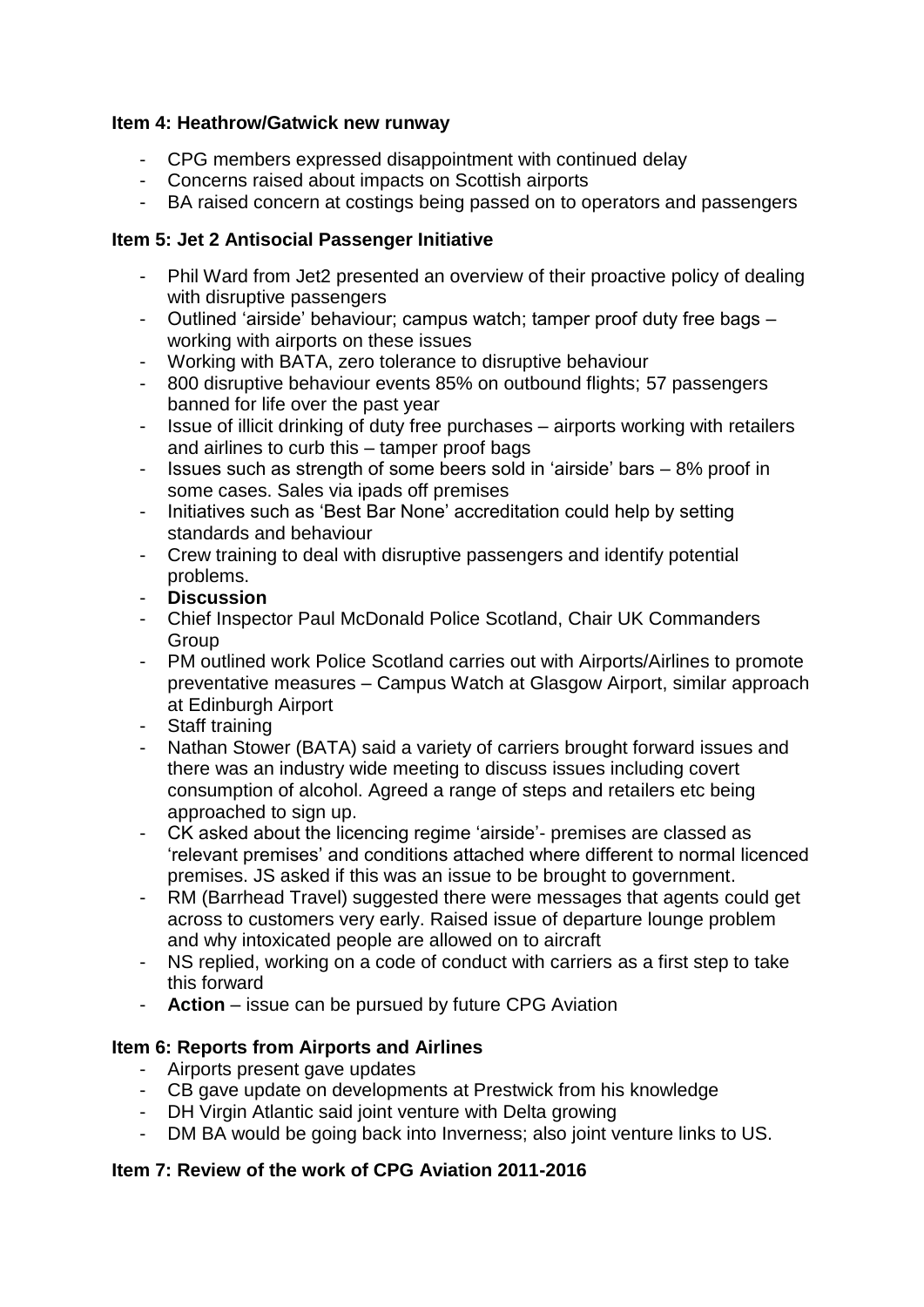# **Item 4: Heathrow/Gatwick new runway**

- CPG members expressed disappointment with continued delay
- Concerns raised about impacts on Scottish airports
- BA raised concern at costings being passed on to operators and passengers

# **Item 5: Jet 2 Antisocial Passenger Initiative**

- Phil Ward from Jet2 presented an overview of their proactive policy of dealing with disruptive passengers
- Outlined 'airside' behaviour; campus watch; tamper proof duty free bags working with airports on these issues
- Working with BATA, zero tolerance to disruptive behaviour
- 800 disruptive behaviour events 85% on outbound flights; 57 passengers banned for life over the past year
- Issue of illicit drinking of duty free purchases airports working with retailers and airlines to curb this – tamper proof bags
- Issues such as strength of some beers sold in 'airside' bars 8% proof in some cases. Sales via ipads off premises
- Initiatives such as 'Best Bar None' accreditation could help by setting standards and behaviour
- Crew training to deal with disruptive passengers and identify potential problems.
- **Discussion**
- Chief Inspector Paul McDonald Police Scotland, Chair UK Commanders Group
- PM outlined work Police Scotland carries out with Airports/Airlines to promote preventative measures – Campus Watch at Glasgow Airport, similar approach at Edinburgh Airport
- Staff training
- Nathan Stower (BATA) said a variety of carriers brought forward issues and there was an industry wide meeting to discuss issues including covert consumption of alcohol. Agreed a range of steps and retailers etc being approached to sign up.
- CK asked about the licencing regime 'airside'- premises are classed as 'relevant premises' and conditions attached where different to normal licenced premises. JS asked if this was an issue to be brought to government.
- RM (Barrhead Travel) suggested there were messages that agents could get across to customers very early. Raised issue of departure lounge problem and why intoxicated people are allowed on to aircraft
- NS replied, working on a code of conduct with carriers as a first step to take this forward
- **Action**  issue can be pursued by future CPG Aviation

# **Item 6: Reports from Airports and Airlines**

- Airports present gave updates
- CB gave update on developments at Prestwick from his knowledge
- DH Virgin Atlantic said joint venture with Delta growing
- DM BA would be going back into Inverness; also joint venture links to US.

# **Item 7: Review of the work of CPG Aviation 2011-2016**